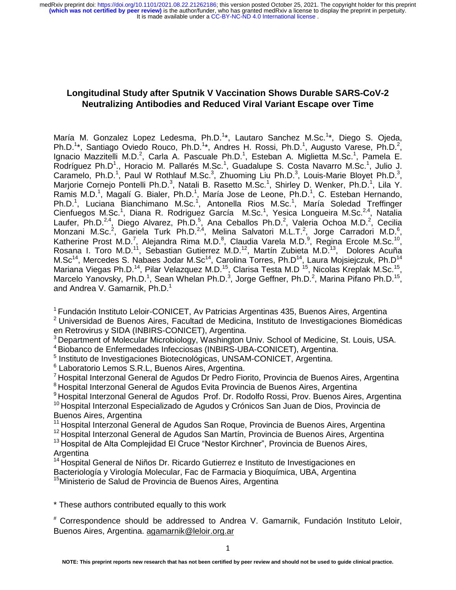# **Longitudinal Study after Sputnik V Vaccination Shows Durable SARS-CoV-2 Neutralizing Antibodies and Reduced Viral Variant Escape over Time**

María M. Gonzalez Lopez Ledesma, Ph.D.<sup>1\*</sup>, Lautaro Sanchez M.Sc.<sup>1\*</sup>, Diego S. Ojeda, Ph.D.<sup>1\*</sup>, Santiago Oviedo Rouco, Ph.D.<sup>1\*</sup>, Andres H. Rossi, Ph.D.<sup>1</sup>, Augusto Varese, Ph.D.<sup>2</sup>, Ignacio Mazzitelli M.D.<sup>2</sup>, Carla A. Pascuale Ph.D.<sup>1</sup>, Esteban A. Miglietta M.Sc.<sup>1</sup>, Pamela E. Rodríguez Ph.D<sup>1</sup>., Horacio M. Pallarés M.Sc.<sup>1</sup>, Guadalupe S. Costa Navarro M.Sc.<sup>1</sup>, Julio J. Caramelo, Ph.D.<sup>1</sup>, Paul W Rothlauf M.Sc.<sup>3</sup>, Zhuoming Liu Ph.D.<sup>3</sup>, Louis-Marie Bloyet Ph.D.<sup>3</sup>, Marjorie Cornejo Pontelli Ph.D.<sup>3</sup>, Natali B. Rasetto M.Sc.<sup>1</sup>, Shirley D. Wenker, Ph.D.<sup>1</sup>, Lila Y. Ramis M.D.<sup>1</sup>, Magalí G. Bialer, Ph.D.<sup>1</sup>, María Jose de Leone, Ph.D.<sup>1</sup>, C. Esteban Hernando, Ph.D.<sup>1</sup>, Luciana Bianchimano M.Sc.<sup>1</sup>, Antonella Rios M.Sc.<sup>1</sup>, María Soledad Treffinger Cienfuegos M.Sc.<sup>1</sup>, Diana R. Rodriguez García M.Sc.<sup>1</sup>, Yesica Longueira M.Sc.<sup>2,4</sup>, Natalia Laufer, Ph.D.<sup>2,4</sup>, Diego Alvarez, Ph.D.<sup>5</sup>, Ana Ceballos Ph.D.<sup>2</sup>, Valeria Ochoa M.D.<sup>2</sup>, Cecilia Monzani M.Sc.<sup>2</sup>, Gariela Turk Ph.D.<sup>2,4</sup>, Melina Salvatori M.L.T.<sup>2</sup>, Jorge Carradori M.D.<sup>6</sup>, Katherine Prost M.D.<sup>7</sup>, Alejandra Rima M.D.<sup>8</sup>, Claudia Varela M.D.<sup>9</sup>, Regina Ercole M.Sc.<sup>10</sup>, Rosana I. Toro M.D.<sup>11</sup>, Sebastian Gutierrez M.D.<sup>12</sup>, Martín Zubieta M.D.<sup>13</sup>, Dolores Acuña M.Sc<sup>14</sup>, Mercedes S. Nabaes Jodar M.Sc<sup>14</sup>, Carolina Torres, Ph.D<sup>14</sup>, Laura Mojsiejczuk, Ph.D<sup>14</sup> Mariana Viegas Ph.D.<sup>14</sup>, Pilar Velazquez M.D.<sup>15</sup>, Clarisa Testa M.D<sup>15</sup>, Nicolas Kreplak M.Sc.<sup>15</sup>, Marcelo Yanovsky, Ph.D.<sup>1</sup>, Sean Whelan Ph.D.<sup>3</sup>, Jorge Geffner, Ph.D.<sup>2</sup>, Marina Pifano Ph.D.<sup>15</sup>, and Andrea V. Gamarnik, Ph.D.<sup>1</sup>

<sup>1</sup> Fundación Instituto Leloir-CONICET, Av Patricias Argentinas 435, Buenos Aires, Argentina

<sup>2</sup>Universidad de Buenos Aires, Facultad de Medicina, Instituto de Investigaciones Biomédicas en Retrovirus y SIDA (INBIRS-CONICET), Argentina.

<sup>3</sup> Department of Molecular Microbiology, Washington Univ. School of Medicine, St. Louis, USA.

<sup>4</sup>Biobanco de Enfermedades Infecciosas (INBIRS-UBA-CONICET), Argentina.

<sup>5</sup> Instituto de Investigaciones Biotecnológicas, UNSAM-CONICET, Argentina.

6 Laboratorio Lemos S.R.L, Buenos Aires, Argentina.

<sup>7</sup> Hospital Interzonal General de Agudos Dr Pedro Fiorito, Provincia de Buenos Aires, Argentina

<sup>8</sup> Hospital Interzonal General de Agudos Evita Provincia de Buenos Aires, Argentina

<sup>9</sup> Hospital Interzonal General de Agudos Prof. Dr. Rodolfo Rossi, Prov. Buenos Aires, Argentina <sup>10</sup> Hospital Interzonal Especializado de Agudos y Crónicos San Juan de Dios, Provincia de Buenos Aires, Argentina

<sup>11</sup> Hospital Interzonal General de Agudos San Roque, Provincia de Buenos Aires, Argentina

<sup>12</sup> Hospital Interzonal General de Agudos San Martín, Provincia de Buenos Aires, Argentina

 $13$ Hospital de Alta Complejidad El Cruce "Nestor Kirchner", Provincia de Buenos Aires, **Argentina** 

<sup>14</sup> Hospital General de Niños Dr. Ricardo Gutierrez e Instituto de Investigaciones en Bacteriología y Virología Molecular, Fac de Farmacia y Bioquímica, UBA, Argentina <sup>15</sup>Ministerio de Salud de Provincia de Buenos Aires, Argentina

\* These authors contributed equally to this work

# Correspondence should be addressed to Andrea V. Gamarnik, Fundación Instituto Leloir, Buenos Aires, Argentina. [agamarnik@leloir.org.ar](mailto:agamarnik@leloir.org.ar)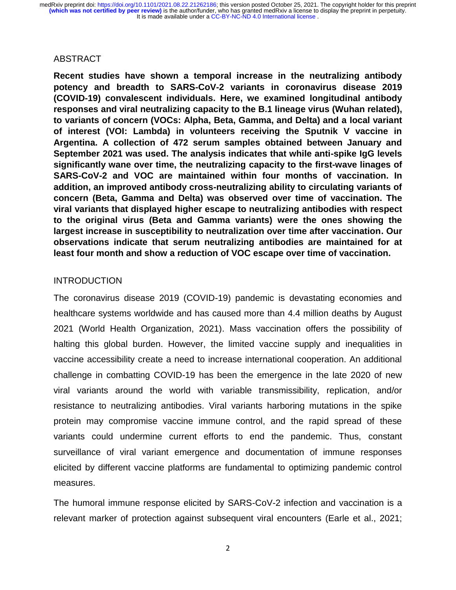## ABSTRACT

**Recent studies have shown a temporal increase in the neutralizing antibody potency and breadth to SARS-CoV-2 variants in coronavirus disease 2019 (COVID-19) convalescent individuals. Here, we examined longitudinal antibody responses and viral neutralizing capacity to the B.1 lineage virus (Wuhan related), to variants of concern (VOCs: Alpha, Beta, Gamma, and Delta) and a local variant of interest (VOI: Lambda) in volunteers receiving the Sputnik V vaccine in Argentina. A collection of 472 serum samples obtained between January and September 2021 was used. The analysis indicates that while anti-spike IgG levels significantly wane over time, the neutralizing capacity to the first-wave linages of SARS-CoV-2 and VOC are maintained within four months of vaccination. In addition, an improved antibody cross-neutralizing ability to circulating variants of concern (Beta, Gamma and Delta) was observed over time of vaccination. The viral variants that displayed higher escape to neutralizing antibodies with respect to the original virus (Beta and Gamma variants) were the ones showing the largest increase in susceptibility to neutralization over time after vaccination. Our observations indicate that serum neutralizing antibodies are maintained for at least four month and show a reduction of VOC escape over time of vaccination.** 

## **INTRODUCTION**

The coronavirus disease 2019 (COVID-19) pandemic is devastating economies and healthcare systems worldwide and has caused more than 4.4 million deaths by August 2021 (World Health Organization, 2021). Mass vaccination offers the possibility of halting this global burden. However, the limited vaccine supply and inequalities in vaccine accessibility create a need to increase international cooperation. An additional challenge in combatting COVID-19 has been the emergence in the late 2020 of new viral variants around the world with variable transmissibility, replication, and/or resistance to neutralizing antibodies. Viral variants harboring mutations in the spike protein may compromise vaccine immune control, and the rapid spread of these variants could undermine current efforts to end the pandemic. Thus, constant surveillance of viral variant emergence and documentation of immune responses elicited by different vaccine platforms are fundamental to optimizing pandemic control measures.

The humoral immune response elicited by SARS-CoV-2 infection and vaccination is a relevant marker of protection against subsequent viral encounters (Earle et al., 2021;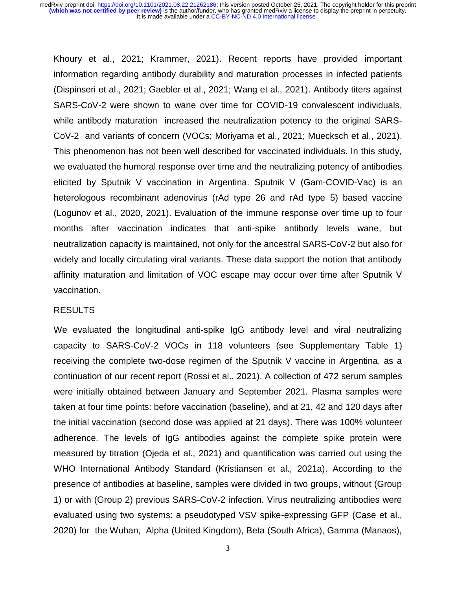Khoury et al., 2021; Krammer, 2021). Recent reports have provided important information regarding antibody durability and maturation processes in infected patients (Dispinseri et al., 2021; Gaebler et al., 2021; Wang et al., 2021). Antibody titers against SARS-CoV-2 were shown to wane over time for COVID-19 convalescent individuals, while antibody maturation increased the neutralization potency to the original SARS-CoV-2 and variants of concern (VOCs; Moriyama et al., 2021; Muecksch et al., 2021). This phenomenon has not been well described for vaccinated individuals. In this study, we evaluated the humoral response over time and the neutralizing potency of antibodies elicited by Sputnik V vaccination in Argentina. Sputnik V (Gam-COVID-Vac) is an heterologous recombinant adenovirus (rAd type 26 and rAd type 5) based vaccine (Logunov et al., 2020, 2021). Evaluation of the immune response over time up to four months after vaccination indicates that anti-spike antibody levels wane, but neutralization capacity is maintained, not only for the ancestral SARS-CoV-2 but also for widely and locally circulating viral variants. These data support the notion that antibody affinity maturation and limitation of VOC escape may occur over time after Sputnik V vaccination.

#### RESULTS

We evaluated the longitudinal anti-spike IgG antibody level and viral neutralizing capacity to SARS-CoV-2 VOCs in 118 volunteers (see Supplementary Table 1) receiving the complete two-dose regimen of the Sputnik V vaccine in Argentina, as a continuation of our recent report (Rossi et al., 2021). A collection of 472 serum samples were initially obtained between January and September 2021. Plasma samples were taken at four time points: before vaccination (baseline), and at 21, 42 and 120 days after the initial vaccination (second dose was applied at 21 days). There was 100% volunteer adherence. The levels of IgG antibodies against the complete spike protein were measured by titration (Ojeda et al., 2021) and quantification was carried out using the WHO International Antibody Standard (Kristiansen et al., 2021a). According to the presence of antibodies at baseline, samples were divided in two groups, without (Group 1) or with (Group 2) previous SARS-CoV-2 infection. Virus neutralizing antibodies were evaluated using two systems: a pseudotyped VSV spike-expressing GFP (Case et al., 2020) for the Wuhan, Alpha (United Kingdom), Beta (South Africa), Gamma (Manaos),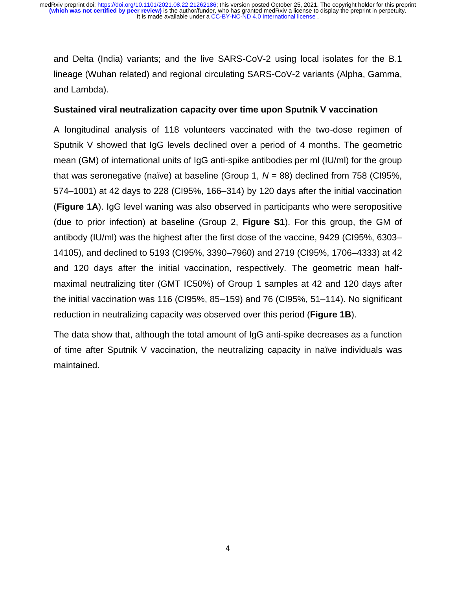and Delta (India) variants; and the live SARS-CoV-2 using local isolates for the B.1 lineage (Wuhan related) and regional circulating SARS-CoV-2 variants (Alpha, Gamma, and Lambda).

## **Sustained viral neutralization capacity over time upon Sputnik V vaccination**

A longitudinal analysis of 118 volunteers vaccinated with the two-dose regimen of Sputnik V showed that IgG levels declined over a period of 4 months. The geometric mean (GM) of international units of IgG anti-spike antibodies per ml (IU/ml) for the group that was seronegative (naïve) at baseline (Group 1, *N* = 88) declined from 758 (CI95%, 574–1001) at 42 days to 228 (CI95%, 166–314) by 120 days after the initial vaccination (**Figure 1A**). IgG level waning was also observed in participants who were seropositive (due to prior infection) at baseline (Group 2, **Figure S1**). For this group, the GM of antibody (IU/ml) was the highest after the first dose of the vaccine, 9429 (CI95%, 6303– 14105), and declined to 5193 (CI95%, 3390–7960) and 2719 (CI95%, 1706–4333) at 42 and 120 days after the initial vaccination, respectively. The geometric mean halfmaximal neutralizing titer (GMT IC50%) of Group 1 samples at 42 and 120 days after the initial vaccination was 116 (CI95%, 85–159) and 76 (CI95%, 51–114). No significant reduction in neutralizing capacity was observed over this period (**Figure 1B**).

The data show that, although the total amount of IgG anti-spike decreases as a function of time after Sputnik V vaccination, the neutralizing capacity in naïve individuals was maintained.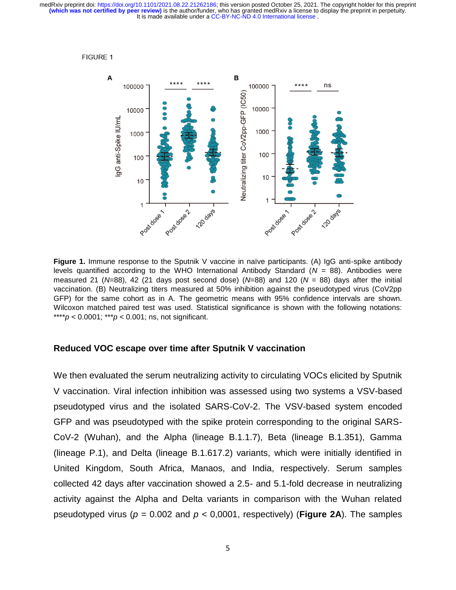

**Figure 1.** Immune response to the Sputnik V vaccine in naïve participants. (A) IgG anti-spike antibody levels quantified according to the WHO International Antibody Standard (*N* = 88). Antibodies were measured 21 (*N*=88), 42 (21 days post second dose) (*N*=88) and 120 (*N* = 88) days after the initial vaccination. (B) Neutralizing titers measured at 50% inhibition against the pseudotyped virus (CoV2pp GFP) for the same cohort as in A. The geometric means with 95% confidence intervals are shown. Wilcoxon matched paired test was used. Statistical significance is shown with the following notations: \*\*\*\**p* < 0.0001; \*\*\**p* < 0.001; ns, not significant.

### **Reduced VOC escape over time after Sputnik V vaccination**

We then evaluated the serum neutralizing activity to circulating VOCs elicited by Sputnik V vaccination. Viral infection inhibition was assessed using two systems a VSV-based pseudotyped virus and the isolated SARS-CoV-2. The VSV-based system encoded GFP and was pseudotyped with the spike protein corresponding to the original SARS-CoV-2 (Wuhan), and the Alpha (lineage B.1.1.7), Beta (lineage B.1.351), Gamma (lineage P.1), and Delta (lineage B.1.617.2) variants, which were initially identified in United Kingdom, South Africa, Manaos, and India, respectively. Serum samples collected 42 days after vaccination showed a 2.5- and 5.1-fold decrease in neutralizing activity against the Alpha and Delta variants in comparison with the Wuhan related pseudotyped virus ( $p = 0.002$  and  $p < 0.0001$ , respectively) (**Figure 2A**). The samples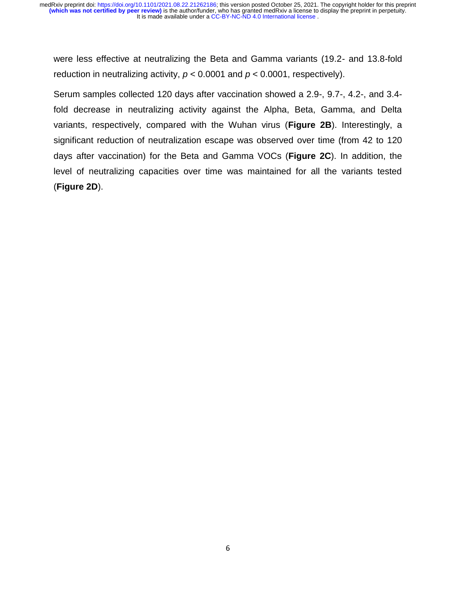were less effective at neutralizing the Beta and Gamma variants (19.2- and 13.8-fold reduction in neutralizing activity,  $p < 0.0001$  and  $p < 0.0001$ , respectively).

Serum samples collected 120 days after vaccination showed a 2.9-, 9.7-, 4.2-, and 3.4 fold decrease in neutralizing activity against the Alpha, Beta, Gamma, and Delta variants, respectively, compared with the Wuhan virus (**Figure 2B**). Interestingly, a significant reduction of neutralization escape was observed over time (from 42 to 120 days after vaccination) for the Beta and Gamma VOCs (**Figure 2C**). In addition, the level of neutralizing capacities over time was maintained for all the variants tested (**Figure 2D**).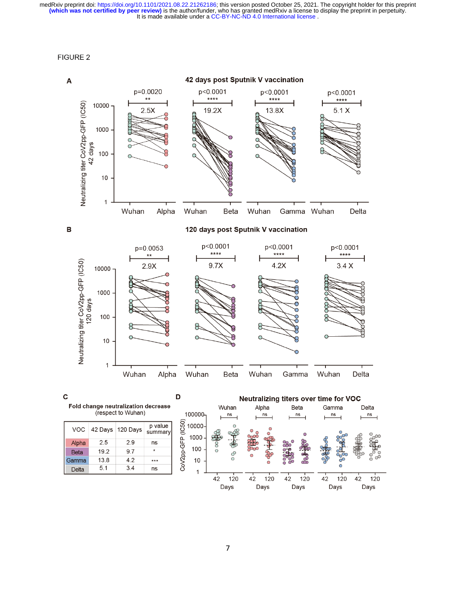**FIGURE 2** 

 $5.1$ 

Delta

 $3.4$ 

ns

 $\mathbf{1}$ 



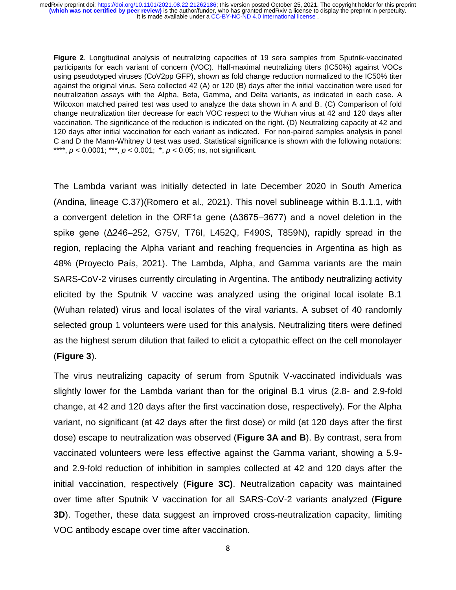**Figure 2**. Longitudinal analysis of neutralizing capacities of 19 sera samples from Sputnik-vaccinated participants for each variant of concern (VOC). Half-maximal neutralizing titers (IC50%) against VOCs using pseudotyped viruses (CoV2pp GFP), shown as fold change reduction normalized to the IC50% titer against the original virus. Sera collected 42 (A) or 120 (B) days after the initial vaccination were used for neutralization assays with the Alpha, Beta, Gamma, and Delta variants, as indicated in each case. A Wilcoxon matched paired test was used to analyze the data shown in A and B. (C) Comparison of fold change neutralization titer decrease for each VOC respect to the Wuhan virus at 42 and 120 days after vaccination. The significance of the reduction is indicated on the right. (D) Neutralizing capacity at 42 and 120 days after initial vaccination for each variant as indicated. For non-paired samples analysis in panel C and D the Mann-Whitney U test was used. Statistical significance is shown with the following notations: \*\*\*\*, *p* < 0.0001; \*\*\*, *p* < 0.001; \*, *p* < 0.05; ns, not significant.

The Lambda variant was initially detected in late December 2020 in South America (Andina, lineage C.37)(Romero et al., 2021). This novel sublineage within B.1.1.1, with a convergent deletion in the ORF1a gene (Δ3675–3677) and a novel deletion in the spike gene (Δ246–252, G75V, T76I, L452Q, F490S, T859N), rapidly spread in the region, replacing the Alpha variant and reaching frequencies in Argentina as high as 48% (Proyecto País, 2021). The Lambda, Alpha, and Gamma variants are the main SARS-CoV-2 viruses currently circulating in Argentina. The antibody neutralizing activity elicited by the Sputnik V vaccine was analyzed using the original local isolate B.1 (Wuhan related) virus and local isolates of the viral variants. A subset of 40 randomly selected group 1 volunteers were used for this analysis. Neutralizing titers were defined as the highest serum dilution that failed to elicit a cytopathic effect on the cell monolayer (**Figure 3**).

The virus neutralizing capacity of serum from Sputnik V-vaccinated individuals was slightly lower for the Lambda variant than for the original B.1 virus (2.8- and 2.9-fold change, at 42 and 120 days after the first vaccination dose, respectively). For the Alpha variant, no significant (at 42 days after the first dose) or mild (at 120 days after the first dose) escape to neutralization was observed (**Figure 3A and B**). By contrast, sera from vaccinated volunteers were less effective against the Gamma variant, showing a 5.9 and 2.9-fold reduction of inhibition in samples collected at 42 and 120 days after the initial vaccination, respectively (**Figure 3C)**. Neutralization capacity was maintained over time after Sputnik V vaccination for all SARS-CoV-2 variants analyzed (**Figure 3D**). Together, these data suggest an improved cross-neutralization capacity, limiting VOC antibody escape over time after vaccination.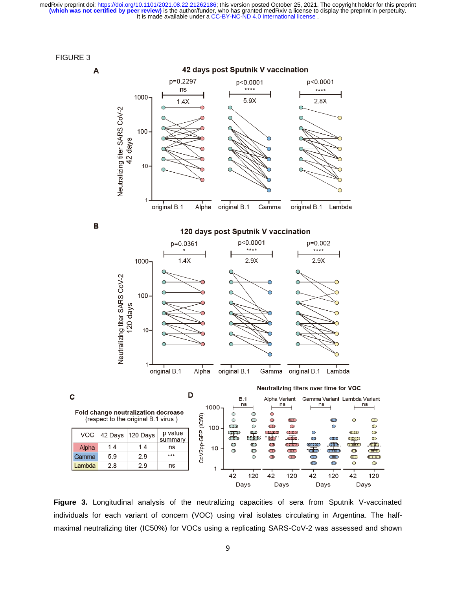

 $\mathbf c$ 



**Figure 3.** Longitudinal analysis of the neutralizing capacities of sera from Sputnik V-vaccinated individuals for each variant of concern (VOC) using viral isolates circulating in Argentina. The halfmaximal neutralizing titer (IC50%) for VOCs using a replicating SARS-CoV-2 was assessed and shown

42

Days

120

42

Days

120

42

120

Days

42

Days

1

 $\operatorname{\sf ns}$ 

 $\infty$ 

 $\circledcirc$ 

 $\circledcirc$ 

 $\overline{\mathbb{O}}$ 

 $\overline{\mathbb{C}}$ 

ato

COO

 $\circledcirc$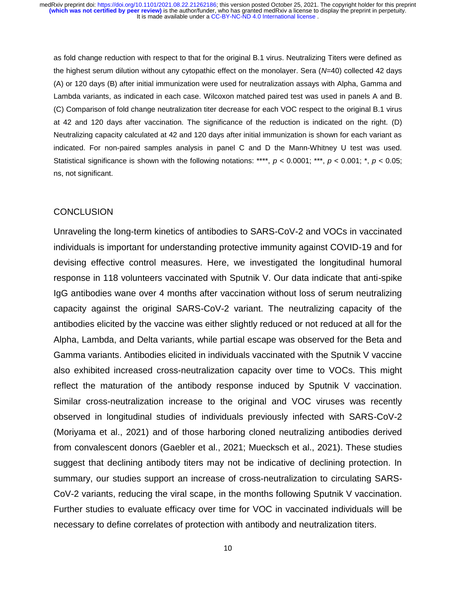as fold change reduction with respect to that for the original B.1 virus. Neutralizing Titers were defined as the highest serum dilution without any cytopathic effect on the monolayer. Sera (*N*=40) collected 42 days (A) or 120 days (B) after initial immunization were used for neutralization assays with Alpha, Gamma and Lambda variants, as indicated in each case. Wilcoxon matched paired test was used in panels A and B. (C) Comparison of fold change neutralization titer decrease for each VOC respect to the original B.1 virus at 42 and 120 days after vaccination. The significance of the reduction is indicated on the right. (D) Neutralizing capacity calculated at 42 and 120 days after initial immunization is shown for each variant as indicated. For non-paired samples analysis in panel C and D the Mann-Whitney U test was used. Statistical significance is shown with the following notations: \*\*\*\*, *p* < 0.0001; \*\*\*, *p* < 0.001; \*, *p* < 0.05; ns, not significant.

#### **CONCLUSION**

Unraveling the long-term kinetics of antibodies to SARS-CoV-2 and VOCs in vaccinated individuals is important for understanding protective immunity against COVID-19 and for devising effective control measures. Here, we investigated the longitudinal humoral response in 118 volunteers vaccinated with Sputnik V. Our data indicate that anti-spike IgG antibodies wane over 4 months after vaccination without loss of serum neutralizing capacity against the original SARS-CoV-2 variant. The neutralizing capacity of the antibodies elicited by the vaccine was either slightly reduced or not reduced at all for the Alpha, Lambda, and Delta variants, while partial escape was observed for the Beta and Gamma variants. Antibodies elicited in individuals vaccinated with the Sputnik V vaccine also exhibited increased cross-neutralization capacity over time to VOCs. This might reflect the maturation of the antibody response induced by Sputnik V vaccination. Similar cross-neutralization increase to the original and VOC viruses was recently observed in longitudinal studies of individuals previously infected with SARS-CoV-2 (Moriyama et al., 2021) and of those harboring cloned neutralizing antibodies derived from convalescent donors (Gaebler et al., 2021; Muecksch et al., 2021). These studies suggest that declining antibody titers may not be indicative of declining protection. In summary, our studies support an increase of cross-neutralization to circulating SARS-CoV-2 variants, reducing the viral scape, in the months following Sputnik V vaccination. Further studies to evaluate efficacy over time for VOC in vaccinated individuals will be necessary to define correlates of protection with antibody and neutralization titers.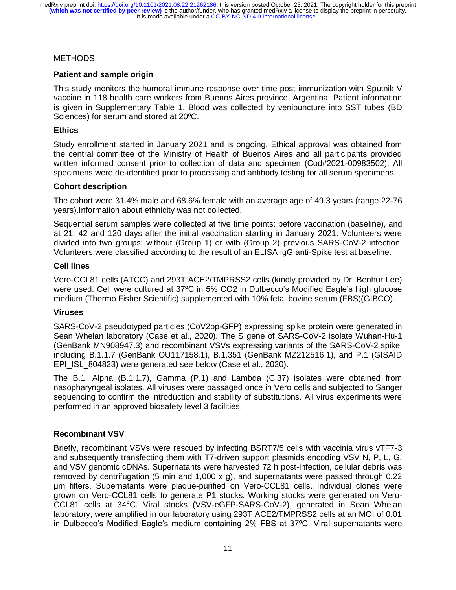### **METHODS**

### **Patient and sample origin**

This study monitors the humoral immune response over time post immunization with Sputnik V vaccine in 118 health care workers from Buenos Aires province, Argentina. Patient information is given in Supplementary Table 1. Blood was collected by venipuncture into SST tubes (BD Sciences) for serum and stored at 20ºC.

#### **Ethics**

Study enrollment started in January 2021 and is ongoing. Ethical approval was obtained from the central committee of the Ministry of Health of Buenos Aires and all participants provided written informed consent prior to collection of data and specimen (Cod#2021-00983502). All specimens were de-identified prior to processing and antibody testing for all serum specimens.

### **Cohort description**

The cohort were 31.4% male and 68.6% female with an average age of 49.3 years (range 22-76 years).Information about ethnicity was not collected.

Sequential serum samples were collected at five time points: before vaccination (baseline), and at 21, 42 and 120 days after the initial vaccination starting in January 2021. Volunteers were divided into two groups: without (Group 1) or with (Group 2) previous SARS-CoV-2 infection. Volunteers were classified according to the result of an ELISA IgG anti-Spike test at baseline.

### **Cell lines**

Vero-CCL81 cells (ATCC) and 293T ACE2/TMPRSS2 cells (kindly provided by Dr. Benhur Lee) were used. Cell were cultured at 37ºC in 5% CO2 in Dulbecco's Modified Eagle's high glucose medium (Thermo Fisher Scientific) supplemented with 10% fetal bovine serum (FBS)(GIBCO).

#### **Viruses**

SARS-CoV-2 pseudotyped particles (CoV2pp-GFP) expressing spike protein were generated in Sean Whelan laboratory (Case et al., 2020). The S gene of SARS-CoV-2 isolate Wuhan-Hu-1 (GenBank MN908947.3) and recombinant VSVs expressing variants of the SARS-CoV-2 spike, including B.1.1.7 (GenBank OU117158.1), B.1.351 (GenBank MZ212516.1), and P.1 (GISAID EPI\_ISL\_804823) were generated see below (Case et al., 2020).

The B.1, Alpha (B.1.1.7), Gamma (P.1) and Lambda (C.37) isolates were obtained from nasopharyngeal isolates. All viruses were passaged once in Vero cells and subjected to Sanger sequencing to confirm the introduction and stability of substitutions. All virus experiments were performed in an approved biosafety level 3 facilities.

## **Recombinant VSV**

Briefly, recombinant VSVs were rescued by infecting BSRT7/5 cells with vaccinia virus vTF7-3 and subsequently transfecting them with T7-driven support plasmids encoding VSV N, P, L, G, and VSV genomic cDNAs. Supernatants were harvested 72 h post-infection, cellular debris was removed by centrifugation (5 min and 1,000 x g), and supernatants were passed through 0.22 μm filters. Supernatants were plaque-purified on Vero-CCL81 cells. Individual clones were grown on Vero-CCL81 cells to generate P1 stocks. Working stocks were generated on Vero-CCL81 cells at 34°C. Viral stocks (VSV-eGFP-SARS-CoV-2), generated in Sean Whelan laboratory, were amplified in our laboratory using 293T ACE2/TMPRSS2 cells at an MOI of 0.01 in Dulbecco's Modified Eagle's medium containing 2% FBS at 37ºC. Viral supernatants were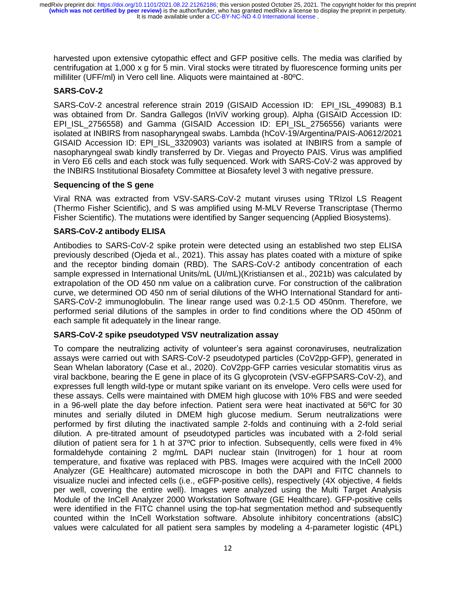harvested upon extensive cytopathic effect and GFP positive cells. The media was clarified by centrifugation at 1,000 x g for 5 min. Viral stocks were titrated by fluorescence forming units per milliliter (UFF/ml) in Vero cell line. Aliquots were maintained at -80ºC.

## **SARS-CoV-2**

SARS-CoV-2 ancestral reference strain 2019 (GISAID Accession ID: EPI\_ISL\_499083) B.1 was obtained from Dr. Sandra Gallegos (InViV working group). Alpha (GISAID Accession ID: EPI\_ISL\_2756558) and Gamma (GISAID Accession ID: EPI\_ISL\_2756556) variants were isolated at INBIRS from nasopharyngeal swabs. Lambda (hCoV-19/Argentina/PAIS-A0612/2021 GISAID Accession ID: EPI\_ISL\_3320903) variants was isolated at INBIRS from a sample of nasopharyngeal swab kindly transferred by Dr. Viegas and Proyecto PAIS. Virus was amplified in Vero E6 cells and each stock was fully sequenced. Work with SARS-CoV-2 was approved by the INBIRS Institutional Biosafety Committee at Biosafety level 3 with negative pressure.

### **Sequencing of the S gene**

Viral RNA was extracted from VSV-SARS-CoV-2 mutant viruses using TRIzol LS Reagent (Thermo Fisher Scientific), and S was amplified using M-MLV Reverse Transcriptase (Thermo Fisher Scientific). The mutations were identified by Sanger sequencing (Applied Biosystems).

### **SARS-CoV-2 antibody ELISA**

Antibodies to SARS-CoV-2 spike protein were detected using an established two step ELISA previously described (Ojeda et al., 2021). This assay has plates coated with a mixture of spike and the receptor binding domain (RBD). The SARS-CoV-2 antibody concentration of each sample expressed in International Units/mL (UI/mL)(Kristiansen et al., 2021b) was calculated by extrapolation of the OD 450 nm value on a calibration curve. For construction of the calibration curve, we determined OD 450 nm of serial dilutions of the WHO International Standard for anti-SARS-CoV-2 immunoglobulin. The linear range used was 0.2-1.5 OD 450nm. Therefore, we performed serial dilutions of the samples in order to find conditions where the OD 450nm of each sample fit adequately in the linear range.

## **SARS-CoV-2 spike pseudotyped VSV neutralization assay**

To compare the neutralizing activity of volunteer's sera against coronaviruses, neutralization assays were carried out with SARS-CoV-2 pseudotyped particles (CoV2pp-GFP), generated in Sean Whelan laboratory (Case et al., 2020). CoV2pp-GFP carries vesicular stomatitis virus as viral backbone, bearing the E gene in place of its G glycoprotein (VSV-eGFPSARS-CoV-2), and expresses full length wild-type or mutant spike variant on its envelope. Vero cells were used for these assays. Cells were maintained with DMEM high glucose with 10% FBS and were seeded in a 96-well plate the day before infection. Patient sera were heat inactivated at 56ºC for 30 minutes and serially diluted in DMEM high glucose medium. Serum neutralizations were performed by first diluting the inactivated sample 2-folds and continuing with a 2-fold serial dilution. A pre-titrated amount of pseudotyped particles was incubated with a 2-fold serial dilution of patient sera for 1 h at 37ºC prior to infection. Subsequently, cells were fixed in 4% formaldehyde containing 2 mg/mL DAPI nuclear stain (Invitrogen) for 1 hour at room temperature, and fixative was replaced with PBS. Images were acquired with the InCell 2000 Analyzer (GE Healthcare) automated microscope in both the DAPI and FITC channels to visualize nuclei and infected cells (i.e., eGFP-positive cells), respectively (4X objective, 4 fields per well, covering the entire well). Images were analyzed using the Multi Target Analysis Module of the InCell Analyzer 2000 Workstation Software (GE Healthcare). GFP-positive cells were identified in the FITC channel using the top-hat segmentation method and subsequently counted within the InCell Workstation software. Absolute inhibitory concentrations (absIC) values were calculated for all patient sera samples by modeling a 4-parameter logistic (4PL)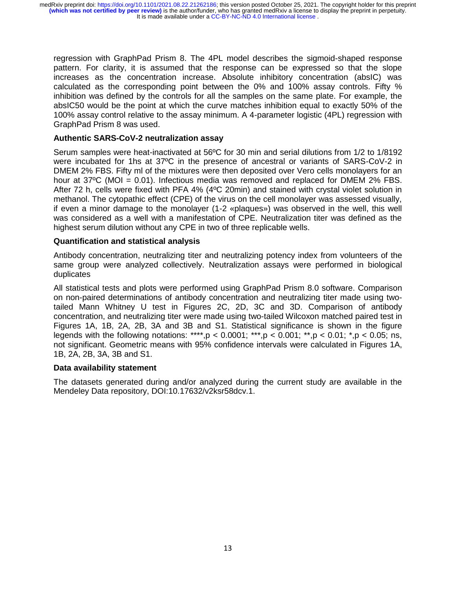regression with GraphPad Prism 8. The 4PL model describes the sigmoid-shaped response pattern. For clarity, it is assumed that the response can be expressed so that the slope increases as the concentration increase. Absolute inhibitory concentration (absIC) was calculated as the corresponding point between the 0% and 100% assay controls. Fifty % inhibition was defined by the controls for all the samples on the same plate. For example, the absIC50 would be the point at which the curve matches inhibition equal to exactly 50% of the 100% assay control relative to the assay minimum. A 4-parameter logistic (4PL) regression with GraphPad Prism 8 was used.

#### **Authentic SARS-CoV-2 neutralization assay**

Serum samples were heat-inactivated at 56ºC for 30 min and serial dilutions from 1/2 to 1/8192 were incubated for 1hs at 37ºC in the presence of ancestral or variants of SARS-CoV-2 in DMEM 2% FBS. Fifty ml of the mixtures were then deposited over Vero cells monolayers for an hour at 37°C (MOI = 0.01). Infectious media was removed and replaced for DMEM 2% FBS. After 72 h, cells were fixed with PFA 4% (4ºC 20min) and stained with crystal violet solution in methanol. The cytopathic effect (CPE) of the virus on the cell monolayer was assessed visually, if even a minor damage to the monolayer (1-2 «plaques») was observed in the well, this well was considered as a well with a manifestation of CPE. Neutralization titer was defined as the highest serum dilution without any CPE in two of three replicable wells.

### **Quantification and statistical analysis**

Antibody concentration, neutralizing titer and neutralizing potency index from volunteers of the same group were analyzed collectively. Neutralization assays were performed in biological duplicates

All statistical tests and plots were performed using GraphPad Prism 8.0 software. Comparison on non-paired determinations of antibody concentration and neutralizing titer made using twotailed Mann Whitney U test in Figures 2C, 2D, 3C and 3D. Comparison of antibody concentration, and neutralizing titer were made using two-tailed Wilcoxon matched paired test in Figures 1A, 1B, 2A, 2B, 3A and 3B and S1. Statistical significance is shown in the figure legends with the following notations: \*\*\*\*,p < 0.0001; \*\*\*,p < 0.001; \*\*,p < 0.01; \*,p < 0.05; ns, not significant. Geometric means with 95% confidence intervals were calculated in Figures 1A, 1B, 2A, 2B, 3A, 3B and S1.

#### **Data availability statement**

The datasets generated during and/or analyzed during the current study are available in the Mendeley Data repository, DOI:10.17632/v2ksr58dcv.1.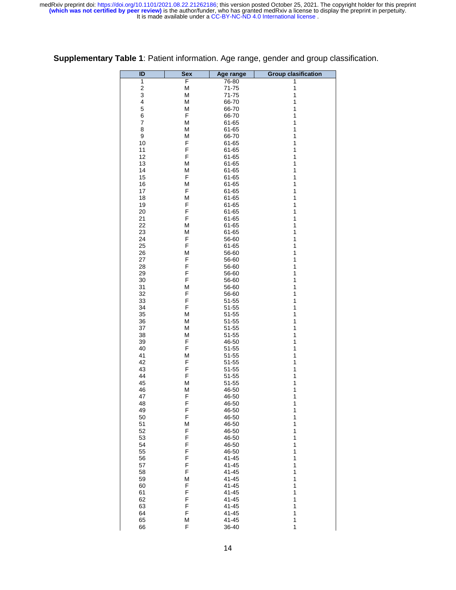| ID                      | <b>Sex</b> | Age range              | <b>Group clasification</b> |
|-------------------------|------------|------------------------|----------------------------|
| 1                       | F          | 76-80                  | 1                          |
| $\overline{\mathbf{c}}$ | М          | $71 - 75$              | 1                          |
| 3                       | M          | 71-75                  | 1                          |
| 4                       | M          | 66-70                  | 1                          |
| 5                       | M          | 66-70                  | 1                          |
| 6<br>7                  | F<br>M     | 66-70                  | 1<br>1                     |
| 8                       | М          | 61-65<br>61-65         | 1                          |
| 9                       | М          | 66-70                  | 1                          |
| 10                      | F          | 61-65                  | 1                          |
| 11                      | F          | 61-65                  | 1                          |
| 12                      | F          | 61-65                  | 1                          |
| 13                      | M          | 61-65                  | 1                          |
| 14                      | М          | 61-65                  | 1                          |
| 15                      | F          | 61-65                  | 1                          |
| 16                      | М          | 61-65                  | 1                          |
| 17<br>18                | F<br>M     | 61-65<br>61-65         | 1<br>1                     |
| 19                      | F          | 61-65                  | 1                          |
| 20                      | F          | 61-65                  | 1                          |
| 21                      | F          | 61-65                  | 1                          |
| 22                      | М          | 61-65                  | 1                          |
| 23                      | М          | 61-65                  | 1                          |
| 24                      | F          | 56-60                  | 1                          |
| 25                      | F          | 61-65                  | 1                          |
| 26                      | M          | 56-60                  | 1                          |
| 27                      | F          | 56-60                  | 1                          |
| 28                      | F          | 56-60                  | 1                          |
| 29<br>30                | F<br>F     | 56-60<br>56-60         | 1<br>1                     |
| 31                      | М          | 56-60                  | 1                          |
| 32                      | F          | 56-60                  | 1                          |
| 33                      | F          | $51 - 55$              | 1                          |
| 34                      | F          | $51 - 55$              | 1                          |
| 35                      | M          | $51 - 55$              | 1                          |
| 36                      | М          | $51 - 55$              | 1                          |
| 37                      | М          | $51 - 55$              | 1                          |
| 38                      | М          | 51-55                  | 1                          |
| 39                      | F<br>F     | 46-50                  | 1<br>1                     |
| 40<br>41                | M          | $51 - 55$<br>$51 - 55$ | 1                          |
| 42                      | F          | $51 - 55$              | 1                          |
| 43                      | F          | $51 - 55$              | 1                          |
| 44                      | F          | $51 - 55$              | 1                          |
| 45                      | Μ          | $51 - 55$              | 1                          |
| 46                      | М          | 46-50                  | 1                          |
| 47                      | F          | 46-50                  | 1                          |
| 48                      | F          | 46-50                  | 1                          |
| 49                      | F<br>F     | 46-50                  | 1<br>1                     |
| 50<br>51                | M          | 46-50<br>46-50         | 1                          |
| 52                      | F          | 46-50                  | 1                          |
| 53                      | F          | 46-50                  | 1                          |
| 54                      | F          | 46-50                  | 1                          |
| 55                      | F          | 46-50                  | 1                          |
| 56                      | F          | 41-45                  | 1                          |
| 57                      | F          | 41-45                  | 1                          |
| 58                      | F          | 41-45                  | 1                          |
| 59                      | M          | 41-45                  | 1                          |
| 60<br>61                | F<br>F     | 41-45<br>41-45         | 1<br>1                     |
| 62                      | F          | 41-45                  | 1                          |
| 63                      | F          | 41-45                  | 1                          |
| 64                      | F          | 41-45                  | 1                          |
| 65                      | M          | 41-45                  | 1                          |
| 66                      | F          | 36-40                  | 1                          |

**Supplementary Table 1**: Patient information. Age range, gender and group classification.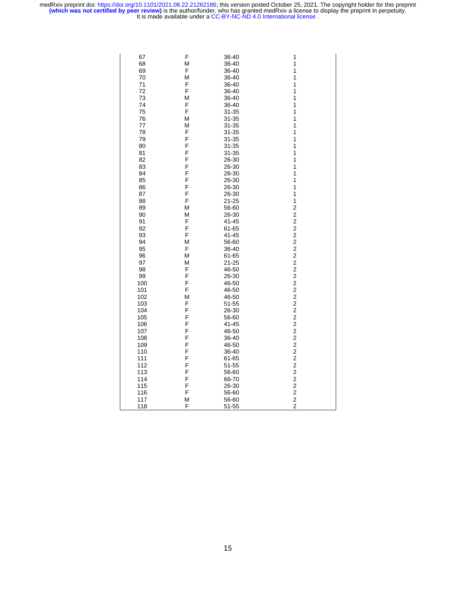| 67  | F | 36-40     | 1                                          |
|-----|---|-----------|--------------------------------------------|
| 68  | M | 36-40     | 1                                          |
|     |   |           |                                            |
| 69  | F | 36-40     | 1                                          |
| 70  | M | 36-40     | 1                                          |
| 71  | F | 36-40     | 1                                          |
| 72  | F | 36-40     | 1                                          |
| 73  | M | 36-40     | 1                                          |
| 74  | F | 36-40     | 1                                          |
| 75  | F | 31-35     | 1                                          |
| 76  | M | 31-35     | 1                                          |
|     |   |           |                                            |
| 77  | M | 31-35     | 1                                          |
| 78  | F | $31 - 35$ | 1                                          |
| 79  | F | $31 - 35$ | 1                                          |
| 80  | F | 31-35     | 1                                          |
| 81  | F | $31 - 35$ | 1                                          |
| 82  | F | 26-30     | 1                                          |
| 83  | F | 26-30     | 1                                          |
| 84  | F | 26-30     | 1                                          |
| 85  | F | 26-30     | 1                                          |
| 86  | F | 26-30     | 1                                          |
|     | F |           |                                            |
| 87  |   | 26-30     | 1                                          |
| 88  | F | 21-25     | $\mathbf{1}$                               |
| 89  | M | 56-60     | $\overline{\mathbf{c}}$                    |
| 90  | M | 26-30     | $\overline{\mathbf{c}}$                    |
| 91  | F | 41-45     | $\overline{c}$                             |
| 92  | F | 61-65     | $\overline{\mathbf{c}}$                    |
| 93  | F | 41-45     | $\overline{c}$                             |
| 94  | M | 56-60     | $\overline{\mathbf{c}}$                    |
| 95  | F | 36-40     | $\overline{\mathbf{c}}$                    |
| 96  | M | 61-65     | $\overline{a}$                             |
| 97  | M |           | $\overline{\mathbf{c}}$                    |
|     |   | 21-25     |                                            |
| 98  | F | 46-50     | $\overline{c}$                             |
| 99  | F | 26-30     | $\overline{\mathbf{c}}$                    |
| 100 | F | 46-50     | $\overline{c}$                             |
| 101 | F | 46-50     |                                            |
| 102 | M | 46-50     |                                            |
| 103 | F | 51-55     | $\begin{array}{c} 2 \\ 2 \\ 2 \end{array}$ |
| 104 | F | 26-30     | $\frac{2}{2}$                              |
| 105 | F | 56-60     |                                            |
| 106 | F | 41-45     | $\overline{\mathbf{c}}$                    |
| 107 | F | 46-50     | $\overline{c}$                             |
| 108 | F | 36-40     | $\overline{\mathbf{c}}$                    |
|     | F |           |                                            |
| 109 |   | 46-50     | $\overline{\mathbf{c}}$                    |
| 110 | F | 36-40     | $\overline{c}$                             |
| 111 | F | 61-65     | $\overline{\mathbf{c}}$                    |
| 112 | F | 51-55     | $\overline{c}$                             |
| 113 | F | 56-60     | $\overline{c}$                             |
| 114 | F | 66-70     | $\overline{c}$                             |
| 115 | F | 26-30     | $\overline{\mathbf{c}}$                    |
| 116 | F | 56-60     | $\overline{c}$                             |
| 117 | M | 56-60     | $\overline{c}$                             |
| 118 | F | $51 - 55$ | $\overline{c}$                             |
|     |   |           |                                            |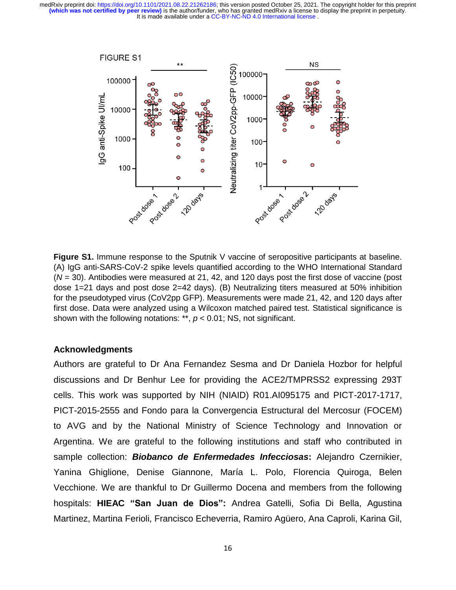

**Figure S1.** Immune response to the Sputnik V vaccine of seropositive participants at baseline. (A) IgG anti-SARS-CoV-2 spike levels quantified according to the WHO International Standard (*N* = 30). Antibodies were measured at 21, 42, and 120 days post the first dose of vaccine (post dose 1=21 days and post dose 2=42 days). (B) Neutralizing titers measured at 50% inhibition for the pseudotyped virus (CoV2pp GFP). Measurements were made 21, 42, and 120 days after first dose. Data were analyzed using a Wilcoxon matched paired test. Statistical significance is shown with the following notations: \*\*, *p* < 0.01; NS, not significant.

## **Acknowledgments**

Authors are grateful to Dr Ana Fernandez Sesma and Dr Daniela Hozbor for helpful discussions and Dr Benhur Lee for providing the ACE2/TMPRSS2 expressing 293T cells. This work was supported by NIH (NIAID) R01.AI095175 and PICT-2017-1717, PICT-2015-2555 and Fondo para la Convergencia Estructural del Mercosur (FOCEM) to AVG and by the National Ministry of Science Technology and Innovation or Argentina. We are grateful to the following institutions and staff who contributed in sample collection: *Biobanco de Enfermedades Infecciosas***:** Alejandro Czernikier, Yanina Ghiglione, Denise Giannone, María L. Polo, Florencia Quiroga, Belen Vecchione. We are thankful to Dr Guillermo Docena and members from the following hospitals: **HIEAC "San Juan de Dios":** Andrea Gatelli, Sofia Di Bella, Agustina Martinez, Martina Ferioli, Francisco Echeverria, Ramiro Agüero, Ana Caproli, Karina Gil,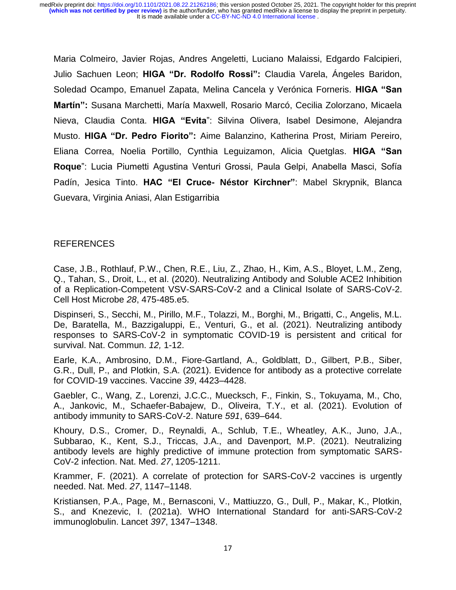Maria Colmeiro, Javier Rojas, Andres Angeletti, Luciano Malaissi, Edgardo Falcipieri, Julio Sachuen Leon; **HIGA "Dr. Rodolfo Rossi":** Claudia Varela, Ángeles Baridon, Soledad Ocampo, Emanuel Zapata, Melina Cancela y Verónica Forneris. **HIGA "San Martín":** Susana Marchetti, María Maxwell, Rosario Marcó, Cecilia Zolorzano, Micaela Nieva, Claudia Conta. **HIGA "Evita**": Silvina Olivera, Isabel Desimone, Alejandra Musto. **HIGA "Dr. Pedro Fiorito":** Aime Balanzino, Katherina Prost, Miriam Pereiro, Eliana Correa, Noelia Portillo, Cynthia Leguizamon, Alicia Quetglas. **HIGA "San Roque**": Lucia Piumetti Agustina Venturi Grossi, Paula Gelpi, Anabella Masci, Sofía Padín, Jesica Tinto. **HAC "El Cruce- Néstor Kirchner"**: Mabel Skrypnik, Blanca Guevara, Virginia Aniasi, Alan Estigarribia

## REFERENCES

Case, J.B., Rothlauf, P.W., Chen, R.E., Liu, Z., Zhao, H., Kim, A.S., Bloyet, L.M., Zeng, Q., Tahan, S., Droit, L., et al. (2020). Neutralizing Antibody and Soluble ACE2 Inhibition of a Replication-Competent VSV-SARS-CoV-2 and a Clinical Isolate of SARS-CoV-2. Cell Host Microbe *28*, 475-485.e5.

Dispinseri, S., Secchi, M., Pirillo, M.F., Tolazzi, M., Borghi, M., Brigatti, C., Angelis, M.L. De, Baratella, M., Bazzigaluppi, E., Venturi, G., et al. (2021). Neutralizing antibody responses to SARS-CoV-2 in symptomatic COVID-19 is persistent and critical for survival. Nat. Commun. *12,* 1-12.

Earle, K.A., Ambrosino, D.M., Fiore-Gartland, A., Goldblatt, D., Gilbert, P.B., Siber, G.R., Dull, P., and Plotkin, S.A. (2021). Evidence for antibody as a protective correlate for COVID-19 vaccines. Vaccine *39*, 4423–4428.

Gaebler, C., Wang, Z., Lorenzi, J.C.C., Muecksch, F., Finkin, S., Tokuyama, M., Cho, A., Jankovic, M., Schaefer-Babajew, D., Oliveira, T.Y., et al. (2021). Evolution of antibody immunity to SARS-CoV-2. Nature *591*, 639–644.

Khoury, D.S., Cromer, D., Reynaldi, A., Schlub, T.E., Wheatley, A.K., Juno, J.A., Subbarao, K., Kent, S.J., Triccas, J.A., and Davenport, M.P. (2021). Neutralizing antibody levels are highly predictive of immune protection from symptomatic SARS-CoV-2 infection. Nat. Med. *27*, 1205-1211.

Krammer, F. (2021). A correlate of protection for SARS-CoV-2 vaccines is urgently needed. Nat. Med. *27*, 1147–1148.

Kristiansen, P.A., Page, M., Bernasconi, V., Mattiuzzo, G., Dull, P., Makar, K., Plotkin, S., and Knezevic, I. (2021a). WHO International Standard for anti-SARS-CoV-2 immunoglobulin. Lancet *397*, 1347–1348.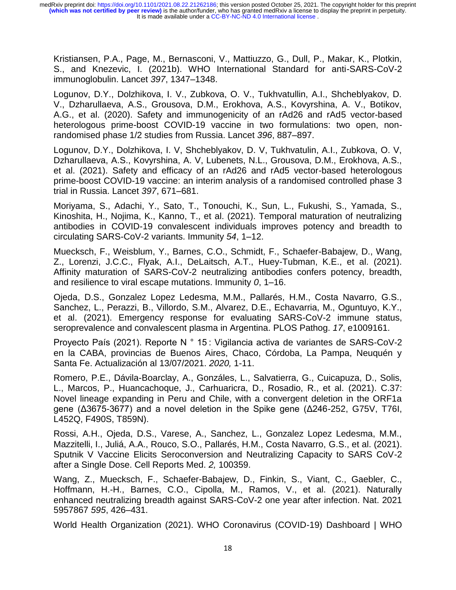Kristiansen, P.A., Page, M., Bernasconi, V., Mattiuzzo, G., Dull, P., Makar, K., Plotkin, S., and Knezevic, I. (2021b). WHO International Standard for anti-SARS-CoV-2 immunoglobulin. Lancet *397*, 1347–1348.

Logunov, D.Y., Dolzhikova, I. V., Zubkova, O. V., Tukhvatullin, A.I., Shcheblyakov, D. V., Dzharullaeva, A.S., Grousova, D.M., Erokhova, A.S., Kovyrshina, A. V., Botikov, A.G., et al. (2020). Safety and immunogenicity of an rAd26 and rAd5 vector-based heterologous prime-boost COVID-19 vaccine in two formulations: two open, nonrandomised phase 1/2 studies from Russia. Lancet *396*, 887–897.

Logunov, D.Y., Dolzhikova, I. V, Shcheblyakov, D. V, Tukhvatulin, A.I., Zubkova, O. V, Dzharullaeva, A.S., Kovyrshina, A. V, Lubenets, N.L., Grousova, D.M., Erokhova, A.S., et al. (2021). Safety and efficacy of an rAd26 and rAd5 vector-based heterologous prime-boost COVID-19 vaccine: an interim analysis of a randomised controlled phase 3 trial in Russia. Lancet *397*, 671–681.

Moriyama, S., Adachi, Y., Sato, T., Tonouchi, K., Sun, L., Fukushi, S., Yamada, S., Kinoshita, H., Nojima, K., Kanno, T., et al. (2021). Temporal maturation of neutralizing antibodies in COVID-19 convalescent individuals improves potency and breadth to circulating SARS-CoV-2 variants. Immunity *54*, 1–12.

Muecksch, F., Weisblum, Y., Barnes, C.O., Schmidt, F., Schaefer-Babajew, D., Wang, Z., Lorenzi, J.C.C., Flyak, A.I., DeLaitsch, A.T., Huey-Tubman, K.E., et al. (2021). Affinity maturation of SARS-CoV-2 neutralizing antibodies confers potency, breadth, and resilience to viral escape mutations. Immunity *0*, 1–16.

Ojeda, D.S., Gonzalez Lopez Ledesma, M.M., Pallarés, H.M., Costa Navarro, G.S., Sanchez, L., Perazzi, B., Villordo, S.M., Alvarez, D.E., Echavarria, M., Oguntuyo, K.Y., et al. (2021). Emergency response for evaluating SARS-CoV-2 immune status, seroprevalence and convalescent plasma in Argentina. PLOS Pathog. *17*, e1009161.

Proyecto País (2021). Reporte N ° 15 : Vigilancia activa de variantes de SARS-CoV-2 en la CABA, provincias de Buenos Aires, Chaco, Córdoba, La Pampa, Neuquén y Santa Fe. Actualización al 13/07/2021. *2020,* 1-11.

Romero, P.E., Dávila-Boarclay, A., Gonzáles, L., Salvatierra, G., Cuicapuza, D., Solis, L., Marcos, P., Huancachoque, J., Carhuaricra, D., Rosadio, R., et al. (2021). C.37: Novel lineage expanding in Peru and Chile, with a convergent deletion in the ORF1a gene (Δ3675-3677) and a novel deletion in the Spike gene (Δ246-252, G75V, T76I, L452Q, F490S, T859N).

Rossi, A.H., Ojeda, D.S., Varese, A., Sanchez, L., Gonzalez Lopez Ledesma, M.M., Mazzitelli, I., Juliá, A.A., Rouco, S.O., Pallarés, H.M., Costa Navarro, G.S., et al. (2021). Sputnik V Vaccine Elicits Seroconversion and Neutralizing Capacity to SARS CoV-2 after a Single Dose. Cell Reports Med. *2,* 100359.

Wang, Z., Muecksch, F., Schaefer-Babajew, D., Finkin, S., Viant, C., Gaebler, C., Hoffmann, H.-H., Barnes, C.O., Cipolla, M., Ramos, V., et al. (2021). Naturally enhanced neutralizing breadth against SARS-CoV-2 one year after infection. Nat. 2021 5957867 *595*, 426–431.

World Health Organization (2021). WHO Coronavirus (COVID-19) Dashboard | WHO